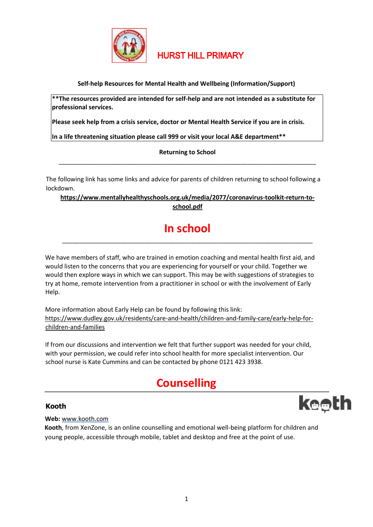

# HURST HILL PRIMARY

**Self-help Resources for Mental Health and Wellbeing (Information/Support)**

**\*\*The resources provided are intended for self-help and are not intended as a substitute for professional services.** 

**Please seek help from a crisis service, doctor or Mental Health Service if you are in crisis.** 

**In a life threatening situation please call 999 or visit your local A&E department\*\*** 

**Returning to School**  \_\_\_\_\_\_\_\_\_\_\_\_\_\_\_\_\_\_\_\_\_\_\_\_\_\_\_\_\_\_\_\_\_\_\_\_\_\_\_\_\_\_\_\_\_\_\_\_\_\_\_\_\_\_\_\_\_\_\_\_\_\_\_\_\_\_\_\_\_\_\_\_\_\_\_

The following link has some links and advice for parents of children returning to school following a lockdown.

# **[https://www.mentallyhealthyschools.org.uk/media/2077/coronavirus-toolkit-return-to](https://www.mentallyhealthyschools.org.uk/media/2077/coronavirus-toolkit-return-to-school.pdf)[school.pdf](https://www.mentallyhealthyschools.org.uk/media/2077/coronavirus-toolkit-return-to-school.pdf)**

# **In school**  \_\_\_\_\_\_\_\_\_\_\_\_\_\_\_\_\_\_\_\_\_\_\_\_\_\_\_\_\_\_\_\_\_\_\_\_\_\_\_\_\_\_\_\_\_\_\_\_\_\_\_\_\_\_\_\_\_\_\_\_\_\_\_\_\_\_\_\_\_\_\_\_\_

We have members of staff, who are trained in emotion coaching and mental health first aid, and would listen to the concerns that you are experiencing for yourself or your child. Together we would then explore ways in which we can support. This may be with suggestions of strategies to try at home, remote intervention from a practitioner in school or with the involvement of Early Help.

More information about Early Help can be found by following this link: [https://www.dudley.gov.uk/residents/care-and-health/children-and-family-care/early-help-for](https://www.dudley.gov.uk/residents/care-and-health/children-and-family-care/early-help-for-children-and-families)[children-and-families](https://www.dudley.gov.uk/residents/care-and-health/children-and-family-care/early-help-for-children-and-families)

If from our discussions and intervention we felt that further support was needed for your child, with your permission, we could refer into school health for more specialist intervention. Our school nurse is Kate Cummins and can be contacted by phone 0121 423 3938.

# **Counselling**

# **Kooth**



**Web:** [www.kooth.com](http://www.kooth.com/)

**Kooth**, from XenZone, is an online counselling and emotional well-being platform for children and young people, accessible through mobile, tablet and desktop and free at the point of use.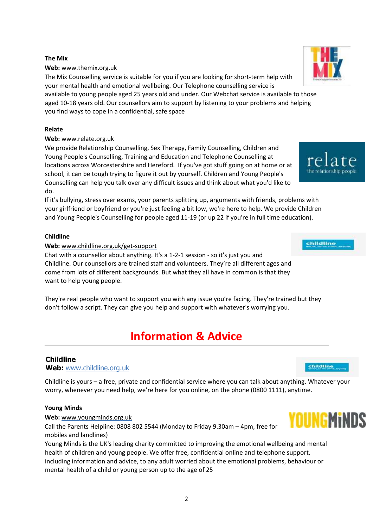# **The Mix**

# **Web[:](http://www.themix.org.uk/)** [www.themix.org.uk](http://www.themix.org.uk/)

The Mix Counselling service is suitable for you if you are looking for short-term help with your mental health and emotional wellbeing. Our Telephone counselling service is

available to young people aged 25 years old and under. Our Webchat service is available to those aged 10-18 years old. Our counsellors aim to support by listening to your problems and helping you find ways to cope in a confidential, safe space

# **Relate**

### **Web:** www.relate.org.uk

We provide Relationship Counselling, Sex Therapy, Family Counselling, Children and Young People's Counselling, Training and Education and Telephone Counselling at locations across Worcestershire and Hereford. If you've got stuff going on at home or at school, it can be tough trying to figure it out by yourself. Children and Young People's Counselling can help you talk over any difficult issues and think about what you'd like to do.

If it's bullying, stress over exams, your parents splitting up, arguments with friends, problems with your girlfriend or boyfriend or you're just feeling a bit low, we're here to help. We provide Children and Young People's Counselling for people aged 11-19 (or up 22 if you're in full time education).

# **Childline**

# **Web:** www.childline.org.uk/get-support

Chat with a counsellor about anything. It's a 1-2-1 session - so it's just you and Childline. Our counsellors are trained staff and volunteers. They're all different ages and come from lots of different backgrounds. But what they all have in common is that they want to help young people.

They're real people who want to support you with any issue you're facing. They're trained but they don't follow a script. They can give you help and support with whatever's worrying you.

# **Information & Advice**

# **Childline**

# **Web:** www.childline.org.uk

Childline is yours – a free, private and confidential service where you can talk about anything. Whatever your worry, whenever you need help, we're here for you online, on the phone (0800 1111), anytime.

### **Young Minds**

#### **Web:** www.youngminds.org.uk

Call the Parents Helpline: 0808 802 5544 (Monday to Friday 9.30am – 4pm, free for mobiles and landlines)

Young Minds is the UK's leading charity committed to improving the emotional wellbeing and mental health of children and young people. We offer free, confidential online and telephone support, including information and advice, to any adult worried about the emotional problems, behaviour or mental health of a child or young person up to the age of 25





childline



 $rela$ 

the relationship people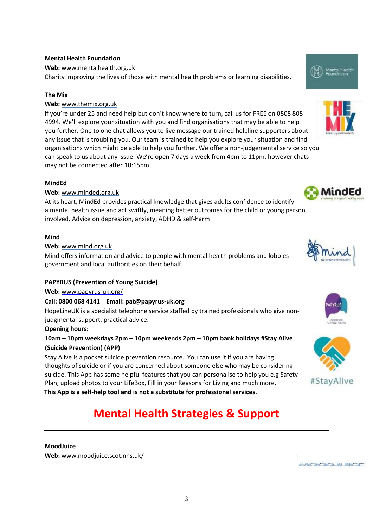# **Mental Health Foundation**

### **Web[:](http://www.mentalhealth.org.uk/)** [www.mentalhealth.org.uk](http://www.mentalhealth.org.uk/)

Charity improving the lives of those with mental health problems or learning disabilities.

#### **The Mix**

# **Web[:](http://www.themix.org.uk/)** [www.themix.org.uk](http://www.themix.org.uk/)

If you're under 25 and need help but don't know where to turn, call us for FREE on 0808 808 4994. We'll explore your situation with you and find organisations that may be able to help you further. One to one chat allows you to live message our trained helpline supporters about any issue that is troubling you. Our team is trained to help you explore your situation and find organisations which might be able to help you further. We offer a non-judgemental service so you can speak to us about any issue. We're open 7 days a week from 4pm to 11pm, however chats may not be connected after 10:15pm.

#### **MindEd**

### **Web[:](https://www.minded.org.uk/)** [www.minded.org.uk](https://www.minded.org.uk/)

At its heart, MindEd provides practical knowledge that gives adults confidence to identify a mental health issue and act swiftly, meaning better outcomes for the child or young person involved. Advice on depression, anxiety, ADHD & self-harm

#### **Mind**

# **Web:** www.mind.org.uk

Mind offers information and advice to people with mental health problems and lobbies government and local authorities on their behalf.

### **PAPYRUS (Prevention of Young Suicide)**

#### **Web[:](http://www.papyrus-uk.org/)** [www.papyrus-uk.org/](http://www.papyrus-uk.org/)

# **Call: 0800 068 4141 Email: pat@papyrus-uk.org**

HopeLineUK is a specialist telephone service staffed by trained professionals who give nonjudgmental support, practical advice.

#### **Opening hours:**

# **10am – 10pm weekdays 2pm – 10pm weekends 2pm – 10pm bank holidays #Stay Alive (Suicide Prevention) (APP)**

Stay Alive is a pocket suicide prevention resource. You can use it if you are having thoughts of suicide or if you are concerned about someone else who may be considering suicide. This App has some helpful features that you can personalise to help you e.g Safety Plan, upload photos to your LifeBox, Fill in your Reasons for Living and much more. **This App is a self-help tool and is not a substitute for professional services.** 

# **Mental Health Strategies & Support**

# **MoodJuice**

**Web[:](http://www.moodjuice.scot.nhs.uk/)** [www.moodjuice.scot.nhs.uk/](http://www.moodjuice.scot.nhs.uk/)













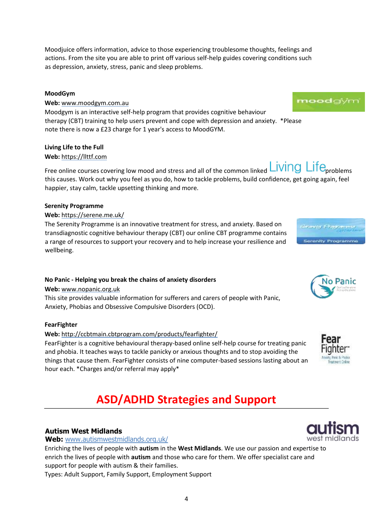Free online courses covering low mood and stress and all of the common linked **Living Life** problems this causes. Work out why you feel as you do, how to tackle problems, build confidence, get going again, feel happier, stay calm, tackle upsetting thinking and more.

### **Serenity Programme**

# **Web:** https://serene.me.uk/

The Serenity Programme is an innovative treatment for stress, and anxiety. Based on transdiagnostic cognitive behaviour therapy (CBT) our online CBT programme contains a range of resources to support your recovery and to help increase your resilience and wellbeing.

# **No Panic - Helping you break the chains of anxiety disorders**

### **Web[:](http://www.nopanic.org.uk/)** [www.nopanic.org.uk](http://www.nopanic.org.uk/)

This site provides valuable information for sufferers and carers of people with Panic, Anxiety, Phobias and Obsessive Compulsive Disorders (OCD).

### **FearFighter**

### **Web:** <http://ccbtmain.cbtprogram.com/products/fearfighter/>

FearFighter is a cognitive behavioural therapy-based online self-help course for treating panic and phobia. It teaches ways to tackle panicky or anxious thoughts and to stop avoiding the things that cause them. FearFighter consists of nine computer-based sessions lasting about an hour each. \*Charges and/or referral may apply\*

# **ASD/ADHD Strategies and Support**

# **Autism West Midlands**

**Web:** [www.autismwestmidlands.org.uk/](http://www.autismwestmidlands.org.uk/)

Enriching the lives of people with **autism** in [th](http://www.autismwestmidlands.org.uk/)e **West Midlands**. We use our passion and expertise to enrich the lives of people with **autism** and those who care for them. We offer specialist care and support for people with autism & their families.

Types: Adult Support, Family Support, Employment Support

# Moodjuice offers information, advice to those experiencing troublesome thoughts, feelings and actions. From the site you are able to print off various self-help guides covering conditions such as depression, anxiety, stress, panic and sleep problems.

# **MoodGym**

**Web[:](http://www.moodgym.com/)** [www.moodgym.com.a](http://www.moodgym.com/)u Moodgym is an interactive self-help program that provides cognitive behaviour therapy (CBT) training to help users prevent and cope with depression and anxiety. \*Please note there is now a £23 charge for 1 year's access to MoodGYM.

# **Living Life to the Full**

# **Web:** https://llttf.com









o Panic

moodgiyn

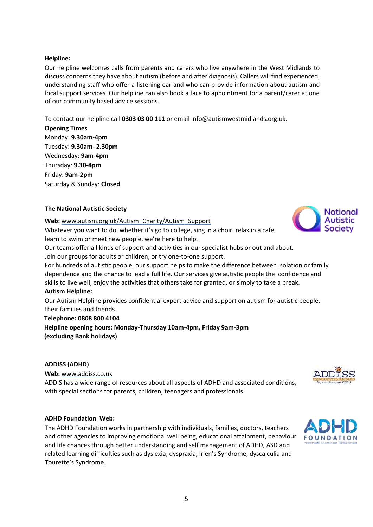# **Helpline:**

Our helpline welcomes calls from parents and carers who live anywhere in the West Midlands to discuss concerns they have about autism (before and after diagnosis). Callers will find experienced, understanding staff who offer a listening ear and who can provide information about autism and local support services. Our helpline can also book a face to appointment for a parent/carer at one of our community based advice sessions.

To contact our helpline call **0303 03 00 111** or email info@autismwestmidlands.org.uk.

**Opening Times** Monday: **9.30am-4pm** Tuesday: **9.30am- 2.30pm** Wednesday: **9am-4pm** Thursday: **9.30-4pm** Friday: **9am-2pm**  Saturday & Sunday: **Closed** 

# **The National Autistic Society**

**Web:** [www.autism.org.uk/Autism\\_Charity/Autism\\_Support](http://www.autism.org.uk/Autism_Charity/Autism_Support) Whatever you want to do, whether it's go to college, sing in a choir, relax in a cafe, learn to swim or meet new people, we're here to help.

Our teams offer all kinds of support and activities in our specialist hubs or out and about.

Join our groups for adults or children, or try one-to-one support.

For hundreds of autistic people, our support helps to make the difference between isolation or family dependence and the chance to lead a full life. Our services give autistic people the confidence and skills to live well, enjoy the activities that others take for granted, or simply to take a break. **Autism Helpline:** 

Our Autism Helpline provides confidential expert advice and support on autism for autistic people, their families and friends.

# **Telephone: 0808 800 4104**

**Helpline opening hours: Monday-Thursday 10am-4pm, Friday 9am-3pm (excluding Bank holidays)** 

# **ADDISS (ADHD)**

**Web:** [www.addiss.co.uk](http://www.addiss.co.uk/)

ADDIS has a wide range of resources about all aspects of ADHD and associated conditions, with special sections for parents, children, teenagers and professionals.

# **ADHD Foundation Web:**

The ADHD Foundation works in partnership with individuals, families, doctors, teachers and other agencies to improving emotional well being, educational attainment, behaviour and life chances through better understanding and self management of ADHD, ASD and related learning difficulties such as dyslexia, dyspraxia, Irlen's Syndrome, dyscalculia and Tourette's Syndrome.





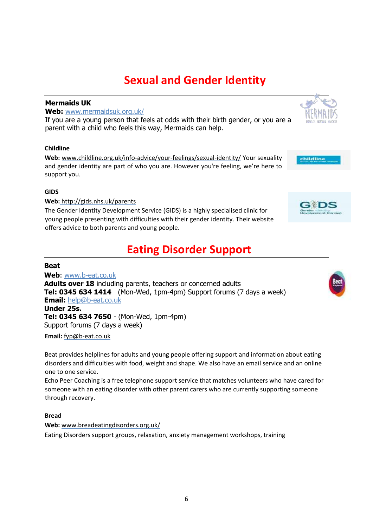**Web:** [www.breadeatingdisorders.org.uk/](http://www.breadeatingdisorders.org.uk/)

Eating Disorders support groups, relaxation, anxiety management workshops, training

# **Sexual and Gender Identity**

# **Mermaids UK**

**Web:** [www.mermaidsuk.org.uk/](http://www.mermaidsuk.org.uk/)

If yo[u a](http://www.mermaidsuk.org.uk/)re a young person that [fee](http://www.mermaidsuk.org.uk/)ls at odds with their birth gender, or you are a parent with a child who feels this way, Mermaids can help.

# **Childline**

**Web:** www.childline.org.uk/info-advice/your-feelings/sexual-identity/ Your sexuality and gender identity are part of who you are. However you're feeling, we're here to support you.

### **GIDS**

**Web:** http://gids.nhs.uk/parents

The Gender Identity Development Service (GIDS) is a highly specialised clinic for young people presenting with difficulties with their gender identity. Their website offers advice to both parents and young people.

# **Eating Disorder Support**

# **Beat**

**Web**: [www.b-eat.co.uk](http://www.b-eat.co.uk/) **Adults over 18** includ[in](http://www.b-eat.co.uk/)g parents, teachers or concerned adults **Tel: 0345 634 1414** (Mon-Wed, 1pm-4pm) Support forums (7 days a week) **Email:** help@b-eat.co.uk **Under 25s. Tel: 0345 634 7650** - (Mon-Wed, 1pm-4pm) Support forums (7 days a week)

**Email:** fyp@b-eat.co.uk

Beat provides helplines for adults and young people offering support and information about eating disorders and difficulties with food, weight and shape. We also have an email service and an online one to one service.

Echo Peer Coaching is a free telephone support service that matches volunteers who have cared for someone with an eating disorder with other parent carers who are currently supporting someone through recovery.

# **Bread**





childline



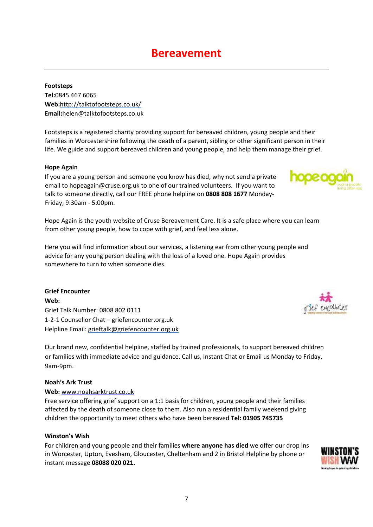# **Bereavement**

**Footsteps Tel:**0845 467 6065 **Web:**<http://talktofootsteps.co.uk/> **Email:**helen@talktofootsteps.co.uk

Footsteps is a registered charity providing support for bereaved children, young people and their families in Worcestershire following the death of a parent, sibling or other significant person in their life. We guide and support bereaved children and young people, and help them manage their grief.

# **Hope Again**

If you are a young person and someone you know has died, why not send a private email to hopeagain@cruse.org.uk to one of our trained volunteers. If you want to talk to someone directly, call our FREE phone helpline on **0808 808 1677** Monday-Friday, 9:30am - 5:00pm.

Hope Again is the youth website of Cruse Bereavement Care. It is a safe place where you can learn from other young people, how to cope with grief, and feel less alone.

Here you will find information about our services, a listening ear from other young people and advice for any young person dealing with the loss of a loved one. Hope Again provides somewhere to turn to when someone dies.

**Grief Encounter Web:**  Grief Talk Number: 0808 802 0111 1-2-1 Counsellor Chat – griefencounter.org.uk Helpline Email: grieftalk@griefencounter.org.uk

Our brand new, confidential helpline, staffed by trained professionals, to support bereaved children or families with immediate advice and guidance. Call us, Instant Chat or Email us Monday to Friday, 9am-9pm.

### **Noah's Ark Trust**

### **Web:** [www.noahsarktrust.co.uk](http://www.noahsarktrust.co.uk/)

Free service offering grief support on a 1:1 basis for children, young people and their families affected by the death of someone close to them. Also run a residential family weekend giving children the opportunity to meet others who have been bereaved **Tel: 01905 745735** 

### **Winston's Wish**

For children and young people and their families **where anyone has died** we offer our drop ins in Worcester, Upton, Evesham, Gloucester, Cheltenham and 2 in Bristol Helpline by phone or instant message **08088 020 021.**





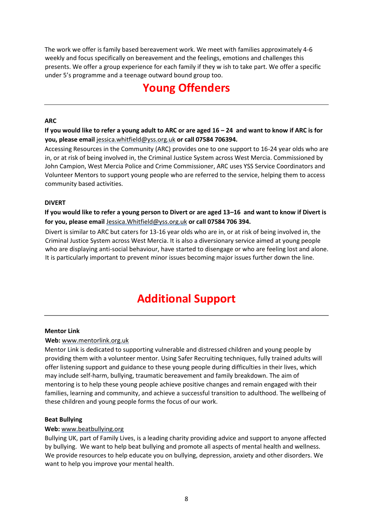The work we offer is family based bereavement work. We meet with families approximately 4-6 weekly and focus specifically on bereavement and the feelings, emotions and challenges this presents. We offer a group experience for each family if they w ish to take part. We offer a specific under 5's programme and a teenage outward bound group too.

# **Young Offenders**

# **ARC**

**If you would like to refer a young adult to ARC or are aged 16 – 24 and want to know if ARC is for you, please email** jessica.whitfield@yss.org.uk **or call 07584 706394.**

Accessing Resources in the Community (ARC) provides one to one support to 16-24 year olds who are in, or at risk of being involved in, the Criminal Justice System across West Mercia. Commissioned by John Campion, West Mercia Police and Crime Commissioner, ARC uses YSS Service Coordinators and Volunteer Mentors to support young people who are referred to the service, helping them to access community based activities.

# **DIVERT**

**If you would like to refer a young person to Divert or are aged 13–16 and want to know if Divert is for you, please email** Jessica.Whitfield@yss.org.uk **or call 07584 706 394.**

Divert is similar to ARC but caters for 13-16 year olds who are in, or at risk of being involved in, the Criminal Justice System across West Mercia. It is also a diversionary service aimed at young people who are displaying anti-social behaviour, have started to disengage or who are feeling lost and alone. It is particularly important to prevent minor issues becoming major issues further down the line.

# **Additional Support**

# **Mentor Link**

# **Web:** www.mentorlink.org.uk

Mentor Link is dedicated to supporting vulnerable and distressed children and young people by providing them with a volunteer mentor. Using Safer Recruiting techniques, fully trained adults will offer listening support and guidance to these young people during difficulties in their lives, which may include self-harm, bullying, traumatic bereavement and family breakdown. The aim of mentoring is to help these young people achieve positive changes and remain engaged with their families, learning and community, and achieve a successful transition to adulthood. The wellbeing of these children and young people forms the focus of our work.

### **Beat Bullying**

# **Web:** [www.beatbullying.org](http://www.beatbullying.org/)

Bullying UK, part of Family Lives, is a leading charity providing advice and support to anyone affected by bullying. We want to help beat bullying and promote all aspects of mental health and wellness. We provide resources to help educate you on bullying, depression, anxiety and other disorders. We want to help you improve your mental health.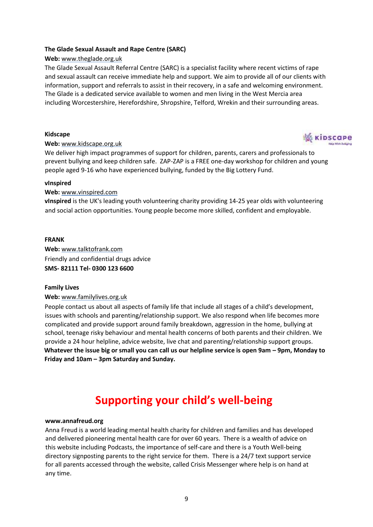# **The Glade Sexual Assault and Rape Centre (SARC)**

# **Web[:](http://www.theglade.org.uk/)** [www.theglade.org.uk](http://www.theglade.org.uk/)

The Glade Sexual Assault Referral Centre (SARC) is a specialist facility where recent victims of rape and sexual assault can receive immediate help and support. We aim to provide all of our clients with information, support and referrals to assist in their recovery, in a safe and welcoming environment. The Glade is a dedicated service available to women and men living in the West Mercia area including Worcestershire, Herefordshire, Shropshire, Telford, Wrekin and their surrounding areas.

### **Kidscape**



### **Web:** [www.kidscape.org.uk](http://www.kidscape.org.uk/)

We deliver high impact programmes of support for children, parents, carers and professionals to prevent bullying and keep children safe. ZAP-ZAP is a FREE one-day workshop for children and young people aged 9-16 who have experienced bullying, funded by the Big Lottery Fund.

#### **vInspired**

### **Web:** [www.vinspired.com](http://www.vinspired.com/)

**vInspired** is the UK's leading youth volunteering charity providing 14-25 year olds with volunteering and social action opportunities. Young people become more skilled, confident and employable.

### **FRANK**

**Web[:](http://www.talktofrank.com/)** [www.talktofrank.com](http://www.talktofrank.com/) Friendly and confidential drugs advice **SMS- 82111 Tel- 0300 123 6600**

### **Family Lives**

### **Web:** [www.familylives.org.uk](http://www.familylives.org.uk/)

People contact us about all aspects of family life that include all stages of a child's development, issues with schools and parenting/relationship support. We also respond when life becomes more complicated and provide support around family breakdown, aggression in the home, bullying at school, teenage risky behaviour and mental health concerns of both parents and their children. We provide a 24 hour helpline, advice website, live chat and parenting/relationship support groups. **Whatever the issue big or small you can call us our helpline service is open 9am – 9pm, Monday to Friday and 10am – 3pm Saturday and Sunday.** 

# **Supporting your child's well-being**

### **[www.annafreud.org](http://www.annafreud.org/)**

Anna Freud is a world leading mental health charity for children and families and has developed and delivered pioneering mental health care for over 60 years. There is a wealth of advice on this website including Podcasts, the importance of self-care and there is a Youth Well-being directory signposting parents to the right service for them. There is a 24/7 text support service for all parents accessed through the website, called Crisis Messenger where help is on hand at any time.